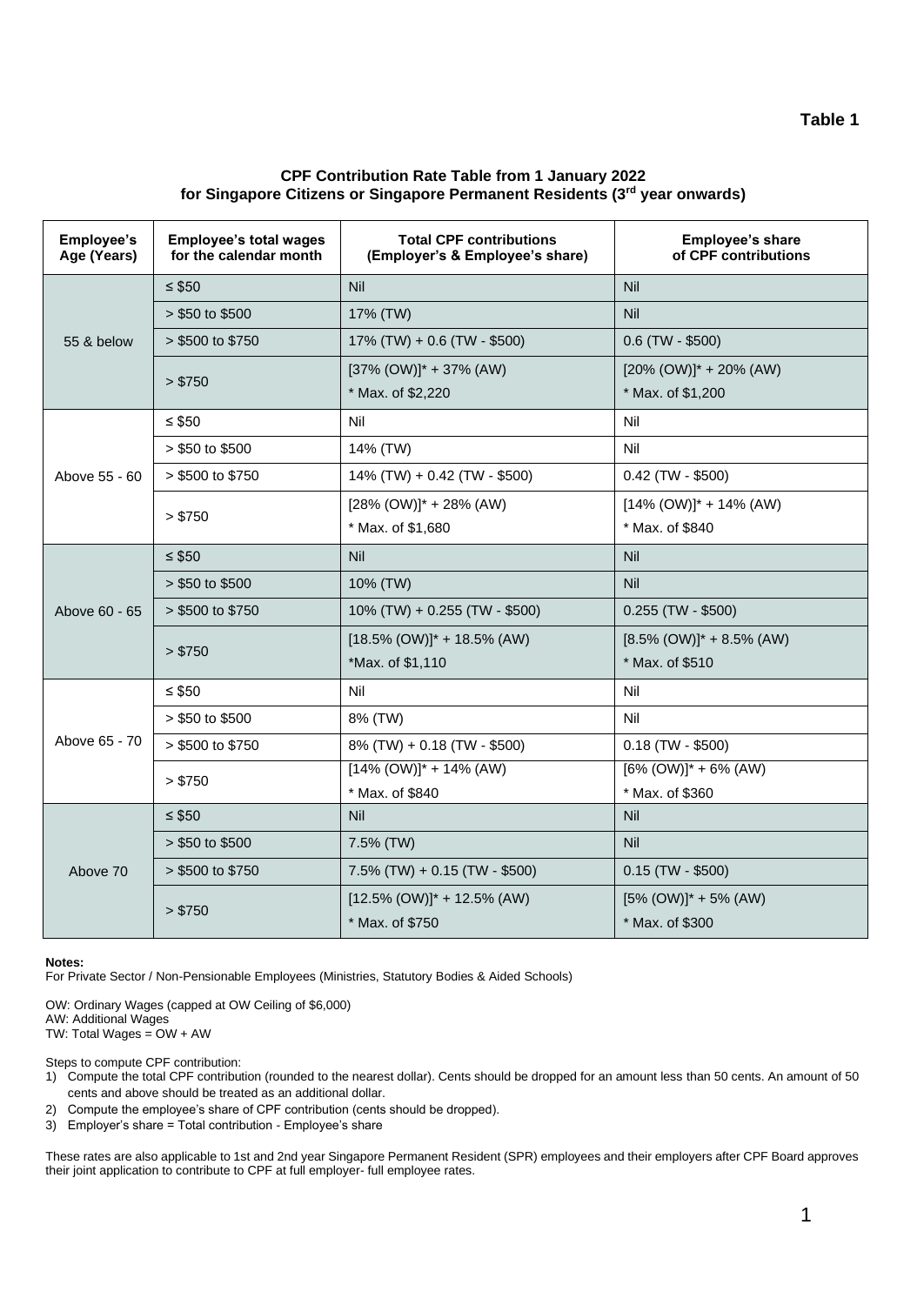# **CPF Contribution Rate Table from 1 January 2022 for Singapore Citizens or Singapore Permanent Residents (3rd year onwards)**

| <b>Employee's</b><br>Age (Years) | <b>Employee's total wages</b><br>for the calendar month | <b>Total CPF contributions</b><br>(Employer's & Employee's share) | Employee's share<br>of CPF contributions |
|----------------------------------|---------------------------------------------------------|-------------------------------------------------------------------|------------------------------------------|
| 55 & below                       | $\leq$ \$50                                             | Nil                                                               | Nil                                      |
|                                  | $> $50$ to \$500                                        | 17% (TW)                                                          | Nil                                      |
|                                  | > \$500 to \$750                                        | $17\%$ (TW) + 0.6 (TW - \$500)                                    | $0.6$ (TW - \$500)                       |
|                                  | > \$750                                                 | $[37\% (OW)]^* + 37\% (AW)$                                       | $[20\% (OW)]^* + 20\% (AW)$              |
|                                  |                                                         | * Max. of \$2,220                                                 | * Max. of \$1,200                        |
|                                  | $\leq$ \$50                                             | Nil                                                               | Nil                                      |
|                                  | $> $50$ to \$500                                        | 14% (TW)                                                          | Nil                                      |
| Above 55 - 60                    | > \$500 to \$750                                        | 14% (TW) + 0.42 (TW - \$500)                                      | $0.42$ (TW - \$500)                      |
|                                  | > \$750                                                 | $[28\% (OW)]^* + 28\% (AW)$                                       | $[14\% (OW)]$ * + 14% (AW)               |
|                                  |                                                         | * Max. of \$1,680                                                 | * Max. of \$840                          |
|                                  | $\leq$ \$50                                             | Nil                                                               | Nil                                      |
|                                  | $> $50$ to \$500                                        | 10% (TW)                                                          | Nil                                      |
| Above 60 - 65                    | > \$500 to \$750                                        | 10% (TW) + 0.255 (TW - \$500)                                     | $0.255$ (TW - \$500)                     |
|                                  | > \$750                                                 | $[18.5\% (OW)]$ * + 18.5% (AW)                                    | $[8.5\% (OW)]^* + 8.5\% (AW)$            |
|                                  |                                                         | *Max. of \$1,110                                                  | * Max. of \$510                          |
|                                  | $\leq$ \$50                                             | Nil                                                               | Nil                                      |
|                                  | $> $50$ to \$500                                        | 8% (TW)                                                           | Nil                                      |
| Above 65 - 70                    | > \$500 to \$750                                        | 8% (TW) + 0.18 (TW - \$500)                                       | $0.18$ (TW - \$500)                      |
|                                  | > \$750                                                 | $[14\% (OW)]$ * + 14% (AW)                                        | $[6\% (OW)]^* + 6\% (AW)$                |
|                                  |                                                         | * Max. of \$840                                                   | * Max. of \$360                          |
| Above 70                         | $\leq$ \$50                                             | Nil                                                               | <b>Nil</b>                               |
|                                  | $> $50$ to \$500                                        | 7.5% (TW)                                                         | Nil                                      |
|                                  | > \$500 to \$750                                        | $7.5\%$ (TW) + 0.15 (TW - \$500)                                  | $0.15$ (TW - \$500)                      |
|                                  | > \$750                                                 | $[12.5\% (OW)]^* + 12.5\% (AW)$                                   | $[5\% (OW)]^* + 5\% (AW)$                |
|                                  |                                                         | * Max. of \$750                                                   | * Max. of \$300                          |

### **Notes:**

For Private Sector / Non-Pensionable Employees (Ministries, Statutory Bodies & Aided Schools)

OW: Ordinary Wages (capped at OW Ceiling of \$6,000)

AW: Additional Wages

TW: Total Wages = OW + AW

Steps to compute CPF contribution:

- 1) Compute the total CPF contribution (rounded to the nearest dollar). Cents should be dropped for an amount less than 50 cents. An amount of 50 cents and above should be treated as an additional dollar.
- 2) Compute the employee's share of CPF contribution (cents should be dropped).
- 3) Employer's share = Total contribution Employee's share

These rates are also applicable to 1st and 2nd year Singapore Permanent Resident (SPR) employees and their employers after CPF Board approves their joint application to contribute to CPF at full employer- full employee rates.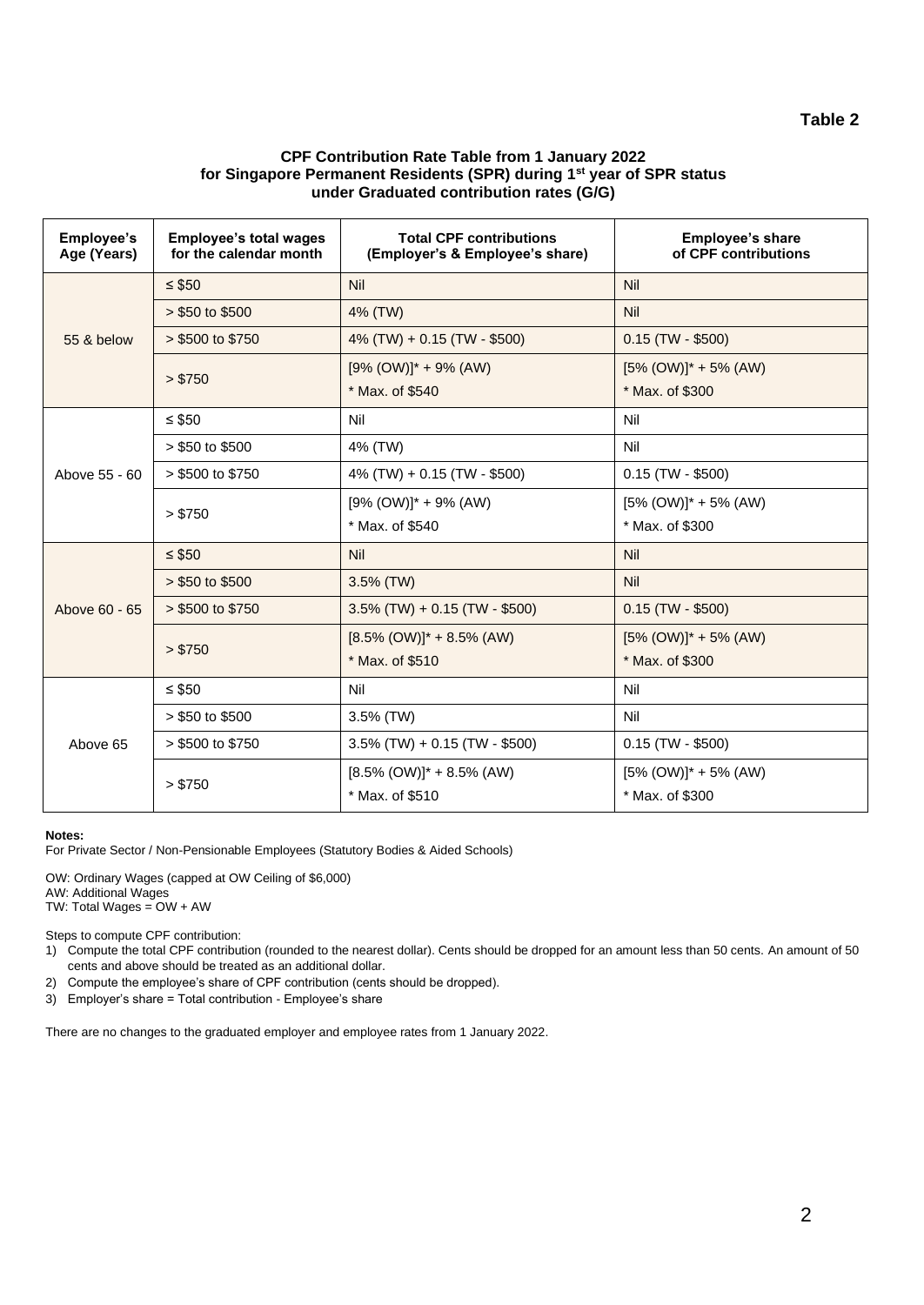# **Table 2**

# **CPF Contribution Rate Table from 1 January 2022 for Singapore Permanent Residents (SPR) during 1st year of SPR status under Graduated contribution rates (G/G)**

| <b>Employee's</b><br>Age (Years) | <b>Employee's total wages</b><br>for the calendar month | <b>Total CPF contributions</b><br>(Employer's & Employee's share) | <b>Employee's share</b><br>of CPF contributions |
|----------------------------------|---------------------------------------------------------|-------------------------------------------------------------------|-------------------------------------------------|
| 55 & below                       | $\leq$ \$50                                             | Nil                                                               | Nil                                             |
|                                  | $> $50$ to \$500                                        | 4% (TW)                                                           | Nil                                             |
|                                  | > \$500 to \$750                                        | 4% (TW) + 0.15 (TW - \$500)                                       | $0.15$ (TW - \$500)                             |
|                                  | > \$750                                                 | $[9\% (OW)]^* + 9\% (AW)$                                         | $[5\% (OW)]^* + 5\% (AW)$                       |
|                                  |                                                         | * Max. of \$540                                                   | * Max. of \$300                                 |
| Above 55 - 60                    | ≤ \$50                                                  | Nil                                                               | Nil                                             |
|                                  | $> $50$ to \$500                                        | 4% (TW)                                                           | Nil                                             |
|                                  | $> $500$ to \$750                                       | 4% (TW) + 0.15 (TW - \$500)                                       | $0.15$ (TW - \$500)                             |
|                                  | > \$750                                                 | $[9\% (OW)]^* + 9\% (AW)$                                         | $[5\% (OW)]^* + 5\% (AW)$                       |
|                                  |                                                         | * Max. of \$540                                                   | * Max. of \$300                                 |
|                                  | $\leq$ \$50                                             | Nil                                                               | Nil                                             |
|                                  | $> $50$ to \$500                                        | 3.5% (TW)                                                         | Nil                                             |
| Above 60 - 65                    | $> $500$ to \$750                                       | $3.5\%$ (TW) + 0.15 (TW - \$500)                                  | $0.15$ (TW - \$500)                             |
|                                  | > \$750                                                 | $[8.5\% (OW)]^* + 8.5\% (AW)$                                     | $[5\% (OW)]^* + 5\% (AW)$                       |
|                                  |                                                         | * Max. of \$510                                                   | * Max. of \$300                                 |
| Above 65                         | $\leq$ \$50                                             | Nil                                                               | Nil                                             |
|                                  | $> $50$ to \$500                                        | $3.5\%$ (TW)                                                      | Nil                                             |
|                                  | $> $500$ to \$750                                       | $3.5\%$ (TW) + 0.15 (TW - \$500)                                  | $0.15$ (TW - \$500)                             |
|                                  | > \$750                                                 | $[8.5\% (OW)]^* + 8.5\% (AW)$                                     | $[5\% (OW)]^* + 5\% (AW)$                       |
|                                  |                                                         | * Max. of \$510                                                   | * Max. of \$300                                 |

### **Notes:**

For Private Sector / Non-Pensionable Employees (Statutory Bodies & Aided Schools)

OW: Ordinary Wages (capped at OW Ceiling of \$6,000) AW: Additional Wages TW: Total Wages = OW + AW

Steps to compute CPF contribution:

1) Compute the total CPF contribution (rounded to the nearest dollar). Cents should be dropped for an amount less than 50 cents. An amount of 50 cents and above should be treated as an additional dollar.

2) Compute the employee's share of CPF contribution (cents should be dropped).

3) Employer's share = Total contribution - Employee's share

There are no changes to the graduated employer and employee rates from 1 January 2022.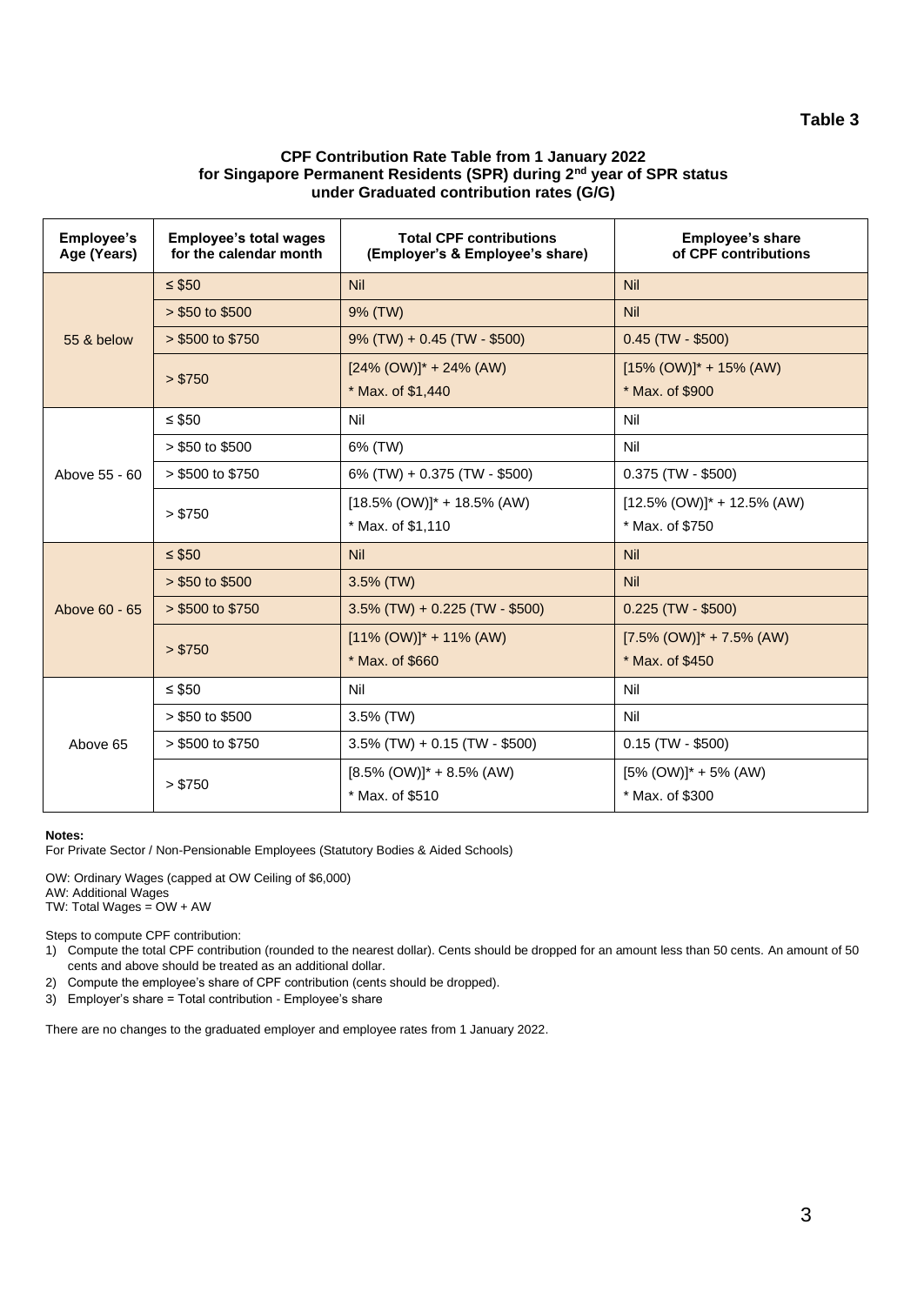# **Table 3**

# **CPF Contribution Rate Table from 1 January 2022 for Singapore Permanent Residents (SPR) during 2nd year of SPR status under Graduated contribution rates (G/G)**

| Employee's<br>Age (Years) | <b>Employee's total wages</b><br>for the calendar month | <b>Total CPF contributions</b><br>(Employer's & Employee's share) | <b>Employee's share</b><br>of CPF contributions |
|---------------------------|---------------------------------------------------------|-------------------------------------------------------------------|-------------------------------------------------|
| 55 & below                | $\leq$ \$50                                             | <b>Nil</b>                                                        | <b>Nil</b>                                      |
|                           | $> $50$ to \$500                                        | 9% (TW)                                                           | <b>Nil</b>                                      |
|                           | > \$500 to \$750                                        | $9\%$ (TW) + 0.45 (TW - \$500)                                    | $0.45$ (TW - \$500)                             |
|                           | > \$750                                                 | $[24\% (OW)]$ * + 24% (AW)                                        | $[15\% (OW)]^* + 15\% (AW)$                     |
|                           |                                                         | * Max. of \$1,440                                                 | * Max. of \$900                                 |
| Above 55 - 60             | $\leq$ \$50                                             | Nil                                                               | Nil                                             |
|                           | $> $50$ to \$500                                        | 6% (TW)                                                           | Nil                                             |
|                           | $> $500$ to \$750                                       | 6% (TW) + 0.375 (TW - \$500)                                      | $0.375$ (TW - \$500)                            |
|                           | > \$750                                                 | $[18.5\% (OW)]$ * + 18.5% (AW)                                    | $[12.5\% (OW)]$ * + 12.5% (AW)                  |
|                           |                                                         | * Max. of \$1,110                                                 | * Max. of \$750                                 |
|                           | $\leq$ \$50                                             | <b>Nil</b>                                                        | <b>Nil</b>                                      |
| Above 60 - 65             | $> $50$ to \$500                                        | 3.5% (TW)                                                         | <b>Nil</b>                                      |
|                           | > \$500 to \$750                                        | $3.5\%$ (TW) + 0.225 (TW - \$500)                                 | $0.225$ (TW - \$500)                            |
|                           | > \$750                                                 | $[11\% (OW)]^* + 11\% (AW)$                                       | $[7.5\% (OW)]^* + 7.5\% (AW)$                   |
|                           |                                                         | * Max. of \$660                                                   | * Max. of \$450                                 |
| Above 65                  | ≤ \$50                                                  | Nil                                                               | Nil                                             |
|                           | $> $50$ to \$500                                        | 3.5% (TW)                                                         | Nil                                             |
|                           | $> $500$ to \$750                                       | $3.5\%$ (TW) + 0.15 (TW - \$500)                                  | $0.15$ (TW - \$500)                             |
|                           | > \$750                                                 | $[8.5\% (OW)]^* + 8.5\% (AW)$                                     | $[5\% (OW)]^* + 5\% (AW)$                       |
|                           |                                                         | * Max. of \$510                                                   | * Max. of \$300                                 |

### **Notes:**

For Private Sector / Non-Pensionable Employees (Statutory Bodies & Aided Schools)

OW: Ordinary Wages (capped at OW Ceiling of \$6,000) AW: Additional Wages TW: Total Wages = OW + AW

Steps to compute CPF contribution:

1) Compute the total CPF contribution (rounded to the nearest dollar). Cents should be dropped for an amount less than 50 cents. An amount of 50 cents and above should be treated as an additional dollar.

2) Compute the employee's share of CPF contribution (cents should be dropped).

3) Employer's share = Total contribution - Employee's share

There are no changes to the graduated employer and employee rates from 1 January 2022.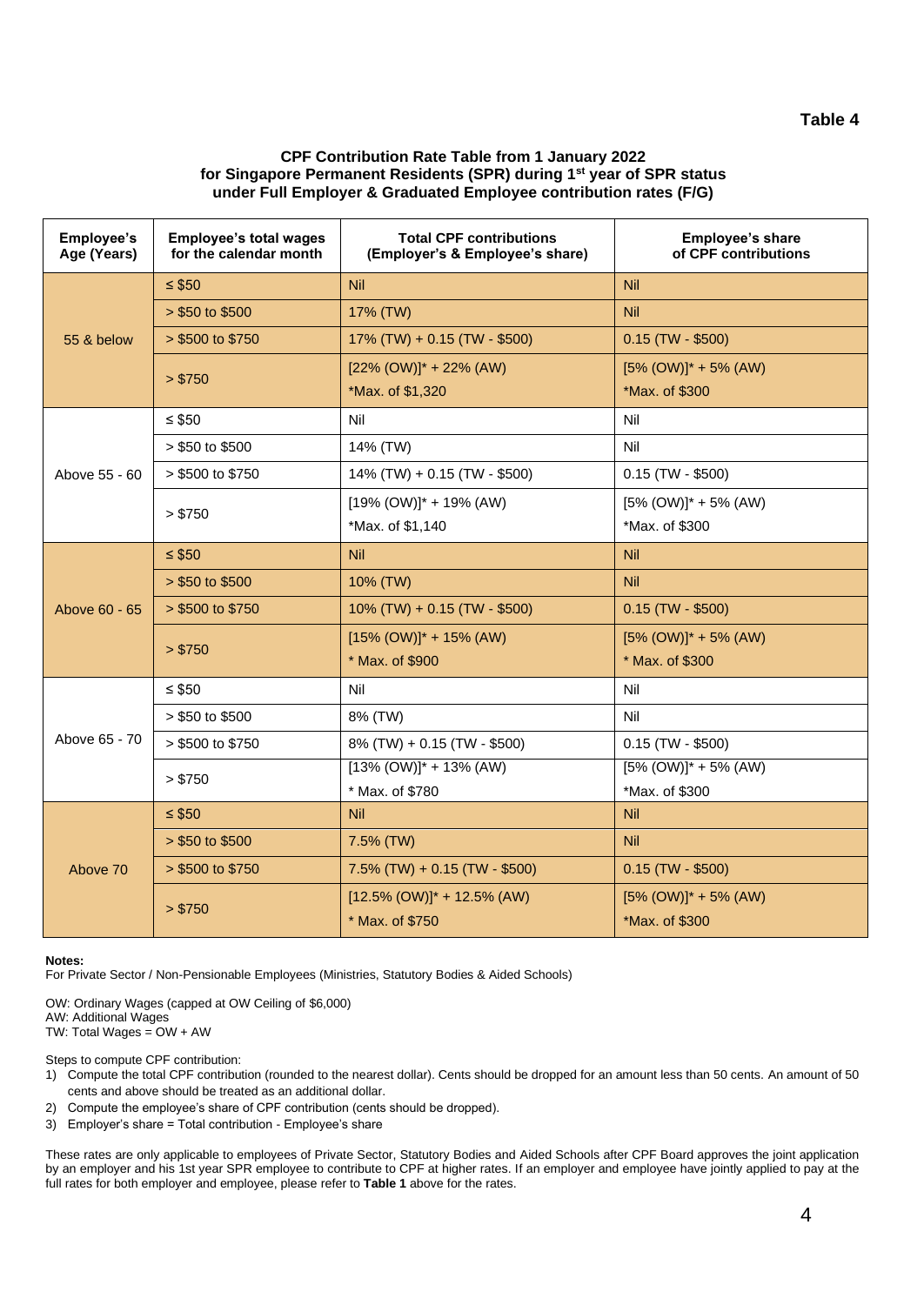## **CPF Contribution Rate Table from 1 January 2022 for Singapore Permanent Residents (SPR) during 1st year of SPR status under Full Employer & Graduated Employee contribution rates (F/G)**

| Employee's<br>Age (Years) | <b>Employee's total wages</b><br>for the calendar month | <b>Total CPF contributions</b><br>(Employer's & Employee's share) | Employee's share<br>of CPF contributions |
|---------------------------|---------------------------------------------------------|-------------------------------------------------------------------|------------------------------------------|
| 55 & below                | $\leq$ \$50                                             | Nil                                                               | <b>Nil</b>                               |
|                           | $> $50$ to \$500                                        | 17% (TW)                                                          | <b>Nil</b>                               |
|                           | > \$500 to \$750                                        | 17% (TW) + 0.15 (TW - \$500)                                      | $0.15$ (TW - \$500)                      |
|                           | > \$750                                                 | $[22\% (OW)]^* + 22\% (AW)$                                       | $[5\% (OW)]^* + 5\% (AW)$                |
|                           |                                                         | *Max. of \$1,320                                                  | *Max. of \$300                           |
|                           | $\leq$ \$50                                             | Nil                                                               | Nil                                      |
|                           | > \$50 to \$500                                         | 14% (TW)                                                          | Nil                                      |
| Above 55 - 60             | > \$500 to \$750                                        | 14% (TW) + 0.15 (TW - \$500)                                      | $0.15$ (TW - \$500)                      |
|                           | > \$750                                                 | $[19\% (OW)]^* + 19\% (AW)$                                       | $[5\% (OW)]^* + 5\% (AW)$                |
|                           |                                                         | *Max. of \$1,140                                                  | *Max. of \$300                           |
|                           | $\leq$ \$50                                             | <b>Nil</b>                                                        | <b>Nil</b>                               |
|                           | $> $50$ to \$500                                        | 10% (TW)                                                          | <b>Nil</b>                               |
| Above 60 - 65             | $> $500$ to \$750                                       | $10\%$ (TW) + 0.15 (TW - \$500)                                   | $0.15$ (TW - \$500)                      |
|                           | > \$750                                                 | $[15\% (OW)]$ * + 15% (AW)                                        | $[5\% (OW)]^* + 5\% (AW)$                |
|                           |                                                         | * Max. of \$900                                                   | * Max. of \$300                          |
|                           | $\leq$ \$50                                             | Nil                                                               | Nil                                      |
|                           | > \$50 to \$500                                         | 8% (TW)                                                           | Nil                                      |
| Above 65 - 70             | > \$500 to \$750                                        | 8% (TW) + 0.15 (TW - \$500)                                       | $0.15$ (TW - \$500)                      |
|                           | > \$750                                                 | $[13\% (OW)]^* + 13\% (AW)$                                       | $[5\% (OW)]^* + 5\% (AW)$                |
|                           |                                                         | * Max. of \$780                                                   | *Max. of \$300                           |
| Above 70                  | $\leq$ \$50                                             | <b>Nil</b>                                                        | Nil                                      |
|                           | $> $50$ to \$500                                        | 7.5% (TW)                                                         | <b>Nil</b>                               |
|                           | > \$500 to \$750                                        | $7.5\%$ (TW) + 0.15 (TW - \$500)                                  | $0.15$ (TW - \$500)                      |
|                           | > \$750                                                 | $[12.5\% (OW)]$ * + 12.5% (AW)                                    | $[5\% (OW)]^* + 5\% (AW)$                |
|                           |                                                         | * Max. of \$750                                                   | *Max. of \$300                           |

### **Notes:**

For Private Sector / Non-Pensionable Employees (Ministries, Statutory Bodies & Aided Schools)

OW: Ordinary Wages (capped at OW Ceiling of \$6,000) AW: Additional Wages TW: Total Wages = OW + AW

Steps to compute CPF contribution:

- 1) Compute the total CPF contribution (rounded to the nearest dollar). Cents should be dropped for an amount less than 50 cents. An amount of 50 cents and above should be treated as an additional dollar.
- 2) Compute the employee's share of CPF contribution (cents should be dropped).
- 3) Employer's share = Total contribution Employee's share

These rates are only applicable to employees of Private Sector, Statutory Bodies and Aided Schools after CPF Board approves the joint application by an employer and his 1st year SPR employee to contribute to CPF at higher rates. If an employer and employee have jointly applied to pay at the full rates for both employer and employee, please refer to **Table 1** above for the rates.